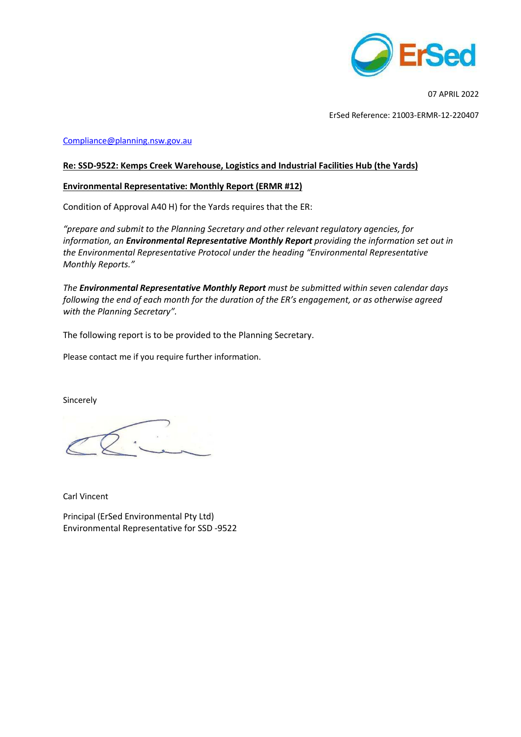

07 APRIL 2022

ErSed Reference: 21003-ERMR-12-220407

#### Compliance@planning.nsw.gov.au

## **Re: SSD-9522: Kemps Creek Warehouse, Logistics and Industrial Facilities Hub (the Yards)**

## **Environmental Representative: Monthly Report (ERMR #12)**

Condition of Approval A40 H) for the Yards requires that the ER:

*"prepare and submit to the Planning Secretary and other relevant regulatory agencies, for information, an Environmental Representative Monthly Report providing the information set out in the Environmental Representative Protocol under the heading "Environmental Representative Monthly Reports."* 

*The Environmental Representative Monthly Report must be submitted within seven calendar days following the end of each month for the duration of the ER's engagement, or as otherwise agreed with the Planning Secretary".* 

The following report is to be provided to the Planning Secretary.

Please contact me if you require further information.

Sincerely

Carl Vincent

Principal (ErSed Environmental Pty Ltd) Environmental Representative for SSD -9522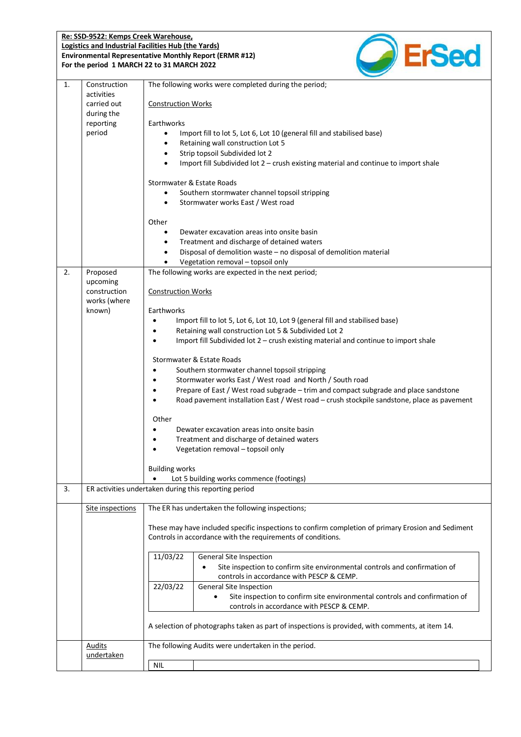#### **Re: SSD-9522: Kemps Creek Warehouse, Logistics and Industrial Facilities Hub (the Yards) Environmental Representative Monthly Report (ERMR #12) For the period 1 MARCH 22 to 31 MARCH 2022**



| 1. | Construction<br>activities<br>carried out<br>during the<br>reporting<br>period | The following works were completed during the period;<br><b>Construction Works</b><br>Earthworks<br>Import fill to lot 5, Lot 6, Lot 10 (general fill and stabilised base)<br>$\bullet$<br>Retaining wall construction Lot 5<br>٠<br>Strip topsoil Subdivided lot 2<br>Import fill Subdivided lot $2$ – crush existing material and continue to import shale                                                                                                                                                                                                                                                                                                                                                                                                                                                                                                                                                            |  |  |  |  |  |
|----|--------------------------------------------------------------------------------|-------------------------------------------------------------------------------------------------------------------------------------------------------------------------------------------------------------------------------------------------------------------------------------------------------------------------------------------------------------------------------------------------------------------------------------------------------------------------------------------------------------------------------------------------------------------------------------------------------------------------------------------------------------------------------------------------------------------------------------------------------------------------------------------------------------------------------------------------------------------------------------------------------------------------|--|--|--|--|--|
|    |                                                                                | Stormwater & Estate Roads<br>Southern stormwater channel topsoil stripping<br>$\bullet$<br>Stormwater works East / West road<br>$\bullet$                                                                                                                                                                                                                                                                                                                                                                                                                                                                                                                                                                                                                                                                                                                                                                               |  |  |  |  |  |
|    |                                                                                | Other<br>Dewater excavation areas into onsite basin<br>$\bullet$<br>Treatment and discharge of detained waters<br>٠<br>Disposal of demolition waste - no disposal of demolition material<br>$\bullet$<br>Vegetation removal - topsoil only                                                                                                                                                                                                                                                                                                                                                                                                                                                                                                                                                                                                                                                                              |  |  |  |  |  |
| 2. | Proposed<br>upcoming<br>construction<br>works (where<br>known)                 | The following works are expected in the next period;<br><b>Construction Works</b><br>Earthworks<br>Import fill to lot 5, Lot 6, Lot 10, Lot 9 (general fill and stabilised base)<br>Retaining wall construction Lot 5 & Subdivided Lot 2<br>Import fill Subdivided lot $2$ – crush existing material and continue to import shale<br>$\bullet$<br>Stormwater & Estate Roads<br>Southern stormwater channel topsoil stripping<br>Stormwater works East / West road and North / South road<br>Prepare of East / West road subgrade - trim and compact subgrade and place sandstone<br>Road pavement installation East / West road - crush stockpile sandstone, place as pavement<br>Other<br>Dewater excavation areas into onsite basin<br>$\bullet$<br>Treatment and discharge of detained waters<br>$\bullet$<br>Vegetation removal - topsoil only<br><b>Building works</b><br>Lot 5 building works commence (footings) |  |  |  |  |  |
| 3. |                                                                                | ER activities undertaken during this reporting period                                                                                                                                                                                                                                                                                                                                                                                                                                                                                                                                                                                                                                                                                                                                                                                                                                                                   |  |  |  |  |  |
|    | Site inspections                                                               | The ER has undertaken the following inspections;<br>These may have included specific inspections to confirm completion of primary Erosion and Sediment<br>Controls in accordance with the requirements of conditions.<br>11/03/22<br><b>General Site Inspection</b><br>Site inspection to confirm site environmental controls and confirmation of<br>controls in accordance with PESCP & CEMP.<br>22/03/22<br>General Site Inspection<br>Site inspection to confirm site environmental controls and confirmation of<br>$\bullet$<br>controls in accordance with PESCP & CEMP.                                                                                                                                                                                                                                                                                                                                           |  |  |  |  |  |
|    |                                                                                | A selection of photographs taken as part of inspections is provided, with comments, at item 14.                                                                                                                                                                                                                                                                                                                                                                                                                                                                                                                                                                                                                                                                                                                                                                                                                         |  |  |  |  |  |
|    | <b>Audits</b><br>undertaken                                                    | The following Audits were undertaken in the period.<br><b>NIL</b>                                                                                                                                                                                                                                                                                                                                                                                                                                                                                                                                                                                                                                                                                                                                                                                                                                                       |  |  |  |  |  |
|    |                                                                                |                                                                                                                                                                                                                                                                                                                                                                                                                                                                                                                                                                                                                                                                                                                                                                                                                                                                                                                         |  |  |  |  |  |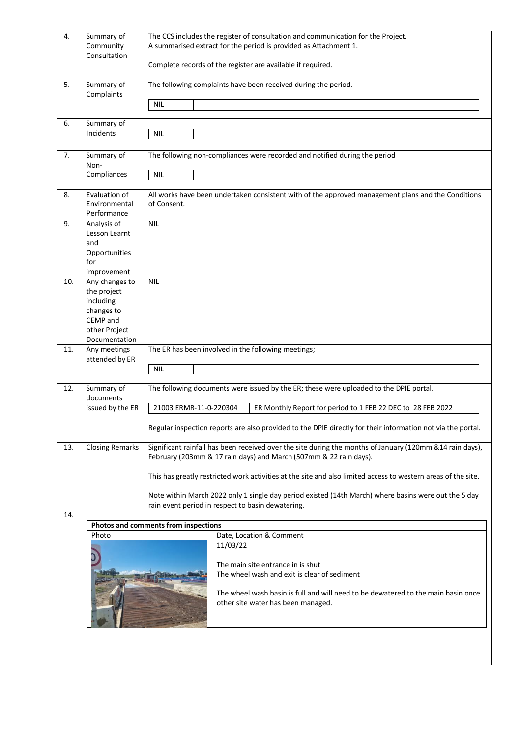| 4.  | Summary of<br>Community<br>Consultation                                                                | The CCS includes the register of consultation and communication for the Project.<br>A summarised extract for the period is provided as Attachment 1.<br>Complete records of the register are available if required.                                                                                                                                                                                                                                          |  |  |  |  |
|-----|--------------------------------------------------------------------------------------------------------|--------------------------------------------------------------------------------------------------------------------------------------------------------------------------------------------------------------------------------------------------------------------------------------------------------------------------------------------------------------------------------------------------------------------------------------------------------------|--|--|--|--|
| 5.  | Summary of<br>Complaints                                                                               | The following complaints have been received during the period.<br><b>NIL</b>                                                                                                                                                                                                                                                                                                                                                                                 |  |  |  |  |
| 6.  | Summary of<br>Incidents                                                                                | <b>NIL</b>                                                                                                                                                                                                                                                                                                                                                                                                                                                   |  |  |  |  |
| 7.  | Summary of<br>Non-<br>Compliances                                                                      | The following non-compliances were recorded and notified during the period<br><b>NIL</b>                                                                                                                                                                                                                                                                                                                                                                     |  |  |  |  |
| 8.  | Evaluation of<br>Environmental<br>Performance                                                          | All works have been undertaken consistent with of the approved management plans and the Conditions<br>of Consent.                                                                                                                                                                                                                                                                                                                                            |  |  |  |  |
| 9.  | Analysis of<br>Lesson Learnt<br>and<br>Opportunities<br>for<br>improvement                             | <b>NIL</b>                                                                                                                                                                                                                                                                                                                                                                                                                                                   |  |  |  |  |
| 10. | Any changes to<br>the project<br>including<br>changes to<br>CEMP and<br>other Project<br>Documentation | <b>NIL</b>                                                                                                                                                                                                                                                                                                                                                                                                                                                   |  |  |  |  |
| 11. | Any meetings<br>attended by ER                                                                         | The ER has been involved in the following meetings;<br><b>NIL</b>                                                                                                                                                                                                                                                                                                                                                                                            |  |  |  |  |
| 12. | Summary of<br>documents<br>issued by the ER                                                            | The following documents were issued by the ER; these were uploaded to the DPIE portal.<br>21003 ERMR-11-0-220304<br>ER Monthly Report for period to 1 FEB 22 DEC to 28 FEB 2022<br>Regular inspection reports are also provided to the DPIE directly for their information not via the portal.                                                                                                                                                               |  |  |  |  |
| 13. | <b>Closing Remarks</b>                                                                                 | Significant rainfall has been received over the site during the months of January (120mm & 14 rain days),<br>February (203mm & 17 rain days) and March (507mm & 22 rain days).<br>This has greatly restricted work activities at the site and also limited access to western areas of the site.<br>Note within March 2022 only 1 single day period existed (14th March) where basins were out the 5 day<br>rain event period in respect to basin dewatering. |  |  |  |  |
| 14. |                                                                                                        | Photos and comments from inspections                                                                                                                                                                                                                                                                                                                                                                                                                         |  |  |  |  |
|     | Photo                                                                                                  | Date, Location & Comment                                                                                                                                                                                                                                                                                                                                                                                                                                     |  |  |  |  |
|     | Ō                                                                                                      | 11/03/22<br>The main site entrance in is shut<br>The wheel wash and exit is clear of sediment<br>The wheel wash basin is full and will need to be dewatered to the main basin once<br>other site water has been managed.                                                                                                                                                                                                                                     |  |  |  |  |
|     |                                                                                                        |                                                                                                                                                                                                                                                                                                                                                                                                                                                              |  |  |  |  |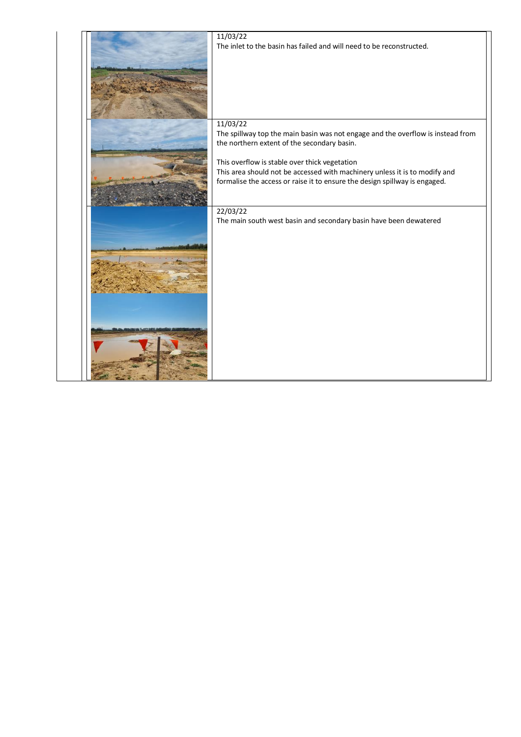| 11/03/22                                                                        |
|---------------------------------------------------------------------------------|
| The inlet to the basin has failed and will need to be reconstructed.            |
|                                                                                 |
|                                                                                 |
|                                                                                 |
|                                                                                 |
|                                                                                 |
|                                                                                 |
|                                                                                 |
|                                                                                 |
| 11/03/22                                                                        |
| The spillway top the main basin was not engage and the overflow is instead from |
| the northern extent of the secondary basin.                                     |
|                                                                                 |
| This overflow is stable over thick vegetation                                   |
| This area should not be accessed with machinery unless it is to modify and      |
| formalise the access or raise it to ensure the design spillway is engaged.      |
|                                                                                 |
|                                                                                 |
|                                                                                 |
| 22/03/22                                                                        |
| The main south west basin and secondary basin have been dewatered               |
|                                                                                 |
|                                                                                 |
|                                                                                 |
|                                                                                 |
|                                                                                 |
|                                                                                 |
|                                                                                 |
|                                                                                 |
|                                                                                 |
|                                                                                 |
|                                                                                 |
|                                                                                 |
|                                                                                 |
|                                                                                 |
|                                                                                 |
|                                                                                 |
|                                                                                 |